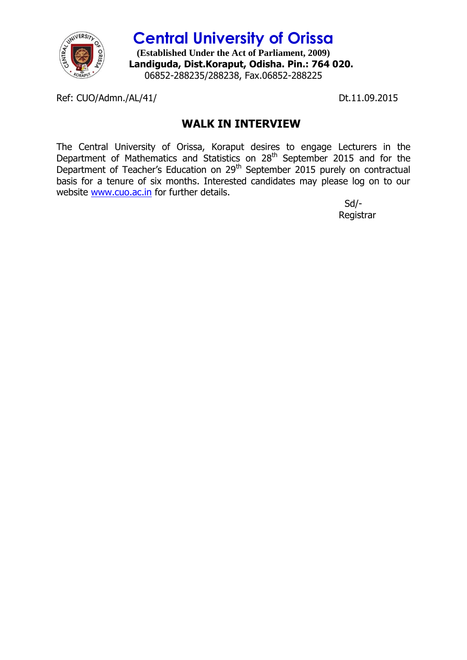

**Central University of Orissa (Established Under the Act of Parliament, 2009) Landiguda, Dist.Koraput, Odisha. Pin.: 764 020.** 06852-288235/288238, Fax.06852-288225

Ref: CUO/Admn./AL/41/ Dt.11.09.2015

## **WALK IN INTERVIEW**

The Central University of Orissa, Koraput desires to engage Lecturers in the Department of Mathematics and Statistics on 28<sup>th</sup> September 2015 and for the Department of Teacher's Education on 29<sup>th</sup> September 2015 purely on contractual basis for a tenure of six months. Interested candidates may please log on to our website [www.cuo.ac.in](http://www.cuo.ac.in/) for further details.

 Sd/- Registrar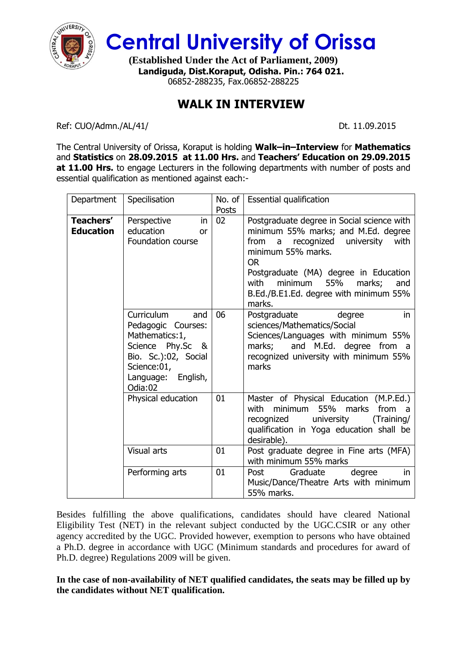

**Central University of Orissa**

**(Established Under the Act of Parliament, 2009) Landiguda, Dist.Koraput, Odisha. Pin.: 764 021.** 06852-288235, Fax.06852-288225

## **WALK IN INTERVIEW**

Ref: CUO/Admn./AL/41/ Dt. 11.09.2015

The Central University of Orissa, Koraput is holding **Walk–in–Interview** for **Mathematics** and **Statistics** on **28.09.2015 at 11.00 Hrs.** and **Teachers' Education on 29.09.2015 at 11.00 Hrs.** to engage Lecturers in the following departments with number of posts and essential qualification as mentioned against each:-

| Department                    | Specilisation                                                                                                                                          | No. of<br>Posts | Essential qualification                                                                                                                                                                                                                                                                                              |
|-------------------------------|--------------------------------------------------------------------------------------------------------------------------------------------------------|-----------------|----------------------------------------------------------------------------------------------------------------------------------------------------------------------------------------------------------------------------------------------------------------------------------------------------------------------|
| Teachers'<br><b>Education</b> | Perspective<br>in.<br>education<br>or<br>Foundation course                                                                                             | 02              | Postgraduate degree in Social science with<br>minimum 55% marks; and M.Ed. degree<br>recognized university<br>from<br>$\overline{a}$<br>with<br>minimum 55% marks.<br><b>OR</b><br>Postgraduate (MA) degree in Education<br>minimum 55%<br>with<br>marks;<br>and<br>B.Ed./B.E1.Ed. degree with minimum 55%<br>marks. |
|                               | Curriculum<br>and<br>Pedagogic Courses:<br>Mathematics: 1,<br>Science Phy.Sc &<br>Bio. Sc.):02, Social<br>Science:01,<br>Language: English,<br>Odia:02 | 06              | Postgraduate<br>degree<br>in.<br>sciences/Mathematics/Social<br>Sciences/Languages with minimum 55%<br>and M.Ed. degree from a<br>marks;<br>recognized university with minimum 55%<br>marks                                                                                                                          |
|                               | Physical education                                                                                                                                     | 01              | Master of Physical Education (M.P.Ed.)<br>minimum 55% marks from<br>with<br>recognized<br>university<br>(Training/<br>qualification in Yoga education shall be<br>desirable).                                                                                                                                        |
|                               | Visual arts                                                                                                                                            | 01              | Post graduate degree in Fine arts (MFA)<br>with minimum 55% marks                                                                                                                                                                                                                                                    |
|                               | Performing arts                                                                                                                                        | 01              | Post<br>degree<br>Graduate<br>in.<br>Music/Dance/Theatre Arts with minimum<br>55% marks.                                                                                                                                                                                                                             |

Besides fulfilling the above qualifications, candidates should have cleared National Eligibility Test (NET) in the relevant subject conducted by the UGC.CSIR or any other agency accredited by the UGC. Provided however, exemption to persons who have obtained a Ph.D. degree in accordance with UGC (Minimum standards and procedures for award of Ph.D. degree) Regulations 2009 will be given.

**In the case of non-availability of NET qualified candidates, the seats may be filled up by the candidates without NET qualification.**